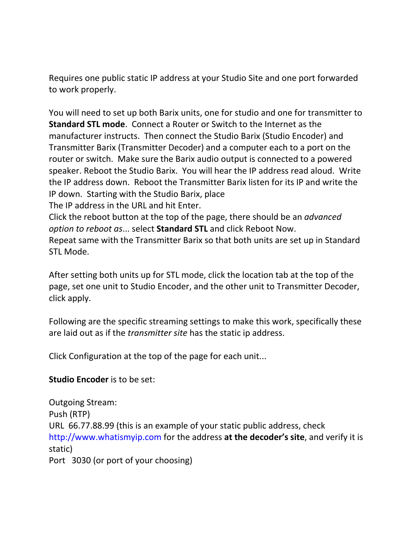Requires one public static IP address at your Studio Site and one port forwarded to work properly.

You will need to set up both Barix units, one for studio and one for transmitter to **Standard STL mode**. Connect a Router or Switch to the Internet as the manufacturer instructs. Then connect the Studio Barix (Studio Encoder) and Transmitter Barix (Transmitter Decoder) and a computer each to a port on the router or switch. Make sure the Barix audio output is connected to a powered speaker. Reboot the Studio Barix. You will hear the IP address read aloud. Write the IP address down. Reboot the Transmitter Barix listen for its IP and write the IP down. Starting with the Studio Barix, place

The IP address in the URL and hit Enter.

Click the reboot button at the top of the page, there should be an *advanced option to reboot as*... select **Standard STL** and click Reboot Now.

Repeat same with the Transmitter Barix so that both units are set up in Standard STL Mode.

After setting both units up for STL mode, click the location tab at the top of the page, set one unit to Studio Encoder, and the other unit to Transmitter Decoder, click apply.

Following are the specific streaming settings to make this work, specifically these are laid out as if the *transmitter site* has the static ip address.

Click Configuration at the top of the page for each unit...

**Studio Encoder** is to be set:

Outgoing Stream: Push (RTP) URL 66.77.88.99 (this is an example of your static public address, check [http://www.whatismyip.com](http://www.whatismyip.com/) for the address **at the decoder's site**, and verify it is static) Port 3030 (or port of your choosing)